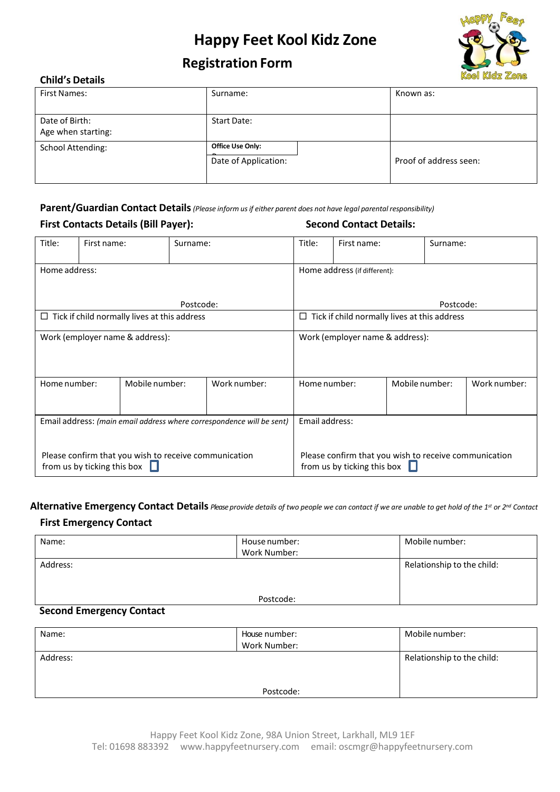

## **Registration Form**

#### **Child's Details**

| <b>First Names:</b>                  | Surname:                                        | Known as:              |
|--------------------------------------|-------------------------------------------------|------------------------|
| Date of Birth:<br>Age when starting: | <b>Start Date:</b>                              |                        |
| <b>School Attending:</b>             | <b>Office Use Only:</b><br>Date of Application: | Proof of address seen: |

**Parent/Guardian Contact Details***(Please inform usif either parent does not have legal parental responsibility)*

#### **First Contacts Details (Bill Payer): Second Contact Details:**

| Title:                                                                               | First name:                    |  | Surname:                                                                             |                                                | Title:                                              | First name: | Surname: |  |  |  |  |
|--------------------------------------------------------------------------------------|--------------------------------|--|--------------------------------------------------------------------------------------|------------------------------------------------|-----------------------------------------------------|-------------|----------|--|--|--|--|
| Home address:                                                                        |                                |  |                                                                                      | Home address (if different):                   |                                                     |             |          |  |  |  |  |
| Postcode:                                                                            |                                |  |                                                                                      |                                                | Postcode:                                           |             |          |  |  |  |  |
| $\Box$ Tick if child normally lives at this address                                  |                                |  |                                                                                      |                                                | $\Box$ Tick if child normally lives at this address |             |          |  |  |  |  |
| Work (employer name & address):                                                      |                                |  | Work (employer name & address):                                                      |                                                |                                                     |             |          |  |  |  |  |
| Home number:                                                                         | Work number:<br>Mobile number: |  |                                                                                      | Mobile number:<br>Home number:<br>Work number: |                                                     |             |          |  |  |  |  |
| Email address: (main email address where correspondence will be sent)                |                                |  | Email address:                                                                       |                                                |                                                     |             |          |  |  |  |  |
| Please confirm that you wish to receive communication<br>from us by ticking this box |                                |  | Please confirm that you wish to receive communication<br>from us by ticking this box |                                                |                                                     |             |          |  |  |  |  |

Alternative Emergency Contact Details Please provide details of two people we can contact if we are unable to get hold of the 1st or 2nd Contact

#### **First Emergency Contact**

| Name:                     | House number: | Mobile number:             |
|---------------------------|---------------|----------------------------|
|                           | Work Number:  |                            |
| Address:                  |               | Relationship to the child: |
|                           |               |                            |
|                           |               |                            |
|                           | Postcode:     |                            |
| Cocond Emproprise Contact |               |                            |

#### **Second Emergency Contact**

| Name:    | House number: | Mobile number:             |
|----------|---------------|----------------------------|
|          | Work Number:  |                            |
| Address: |               | Relationship to the child: |
|          |               |                            |
|          |               |                            |
|          | Postcode:     |                            |
|          |               |                            |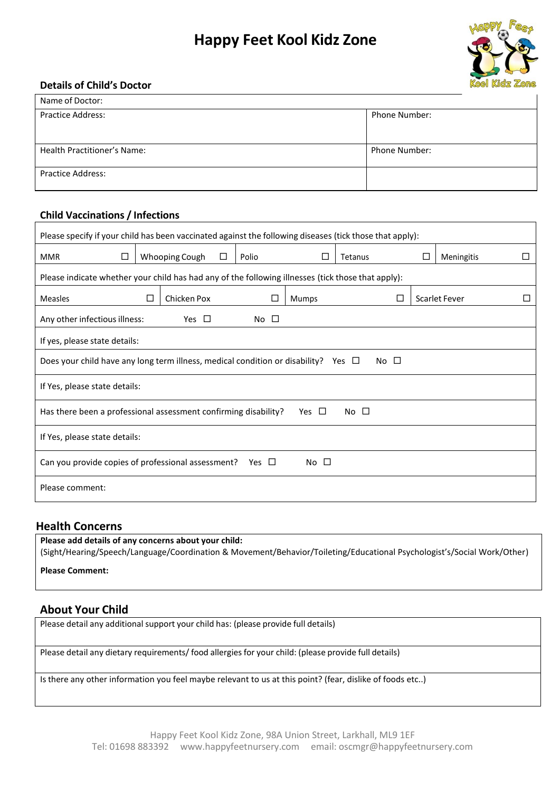

#### **Details of Child's Doctor**

| Name of Doctor:             |                      |
|-----------------------------|----------------------|
| <b>Practice Address:</b>    | <b>Phone Number:</b> |
|                             |                      |
|                             |                      |
| Health Practitioner's Name: | <b>Phone Number:</b> |
|                             |                      |
| <b>Practice Address:</b>    |                      |
|                             |                      |

#### **Child Vaccinations / Infections**

#### **Health Concerns**

**Please add details of any concerns about your child:** (Sight/Hearing/Speech/Language/Coordination & Movement/Behavior/Toileting/Educational Psychologist's/Social Work/Other)

**Please Comment:**

#### **About Your Child**

Please detail any additional support your child has: (please provide full details)

Please detail any dietary requirements/ food allergies for your child: (please provide full details)

Is there any other information you feel maybe relevant to us at this point? (fear, dislike of foods etc..)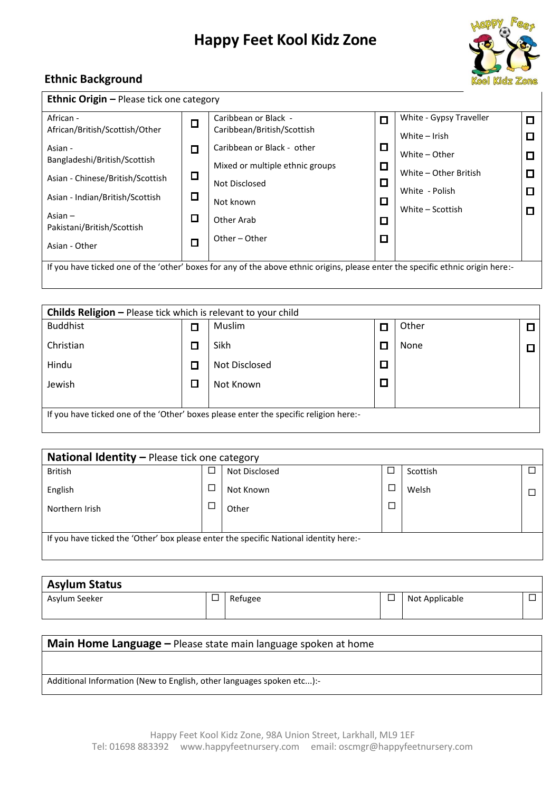

#### **Ethnic Background**

| <b>Ethnic Origin – Please tick one category</b>                                                                                 |        |                                 |   |                         |        |  |  |  |
|---------------------------------------------------------------------------------------------------------------------------------|--------|---------------------------------|---|-------------------------|--------|--|--|--|
| African -                                                                                                                       | $\Box$ | Caribbean or Black -            | п | White - Gypsy Traveller | $\Box$ |  |  |  |
| African/British/Scottish/Other                                                                                                  |        | Caribbean/British/Scottish      |   | White $-$ Irish         | ◘      |  |  |  |
| Asian -                                                                                                                         | ◻      | Caribbean or Black - other      | □ | White - Other           |        |  |  |  |
| Bangladeshi/British/Scottish                                                                                                    |        | Mixed or multiple ethnic groups | □ |                         | $\Box$ |  |  |  |
| Asian - Chinese/British/Scottish                                                                                                | О      | Not Disclosed                   | □ | White - Other British   | D      |  |  |  |
| Asian - Indian/British/Scottish                                                                                                 | $\Box$ |                                 |   | White - Polish          | □      |  |  |  |
|                                                                                                                                 |        | Not known                       | □ | White – Scottish        | $\Box$ |  |  |  |
| Asian $-$                                                                                                                       | □      | Other Arab                      | □ |                         |        |  |  |  |
| Pakistani/British/Scottish                                                                                                      |        | Other - Other                   | ◻ |                         |        |  |  |  |
| Asian - Other                                                                                                                   | $\Box$ |                                 |   |                         |        |  |  |  |
|                                                                                                                                 |        |                                 |   |                         |        |  |  |  |
| If you have ticked one of the 'other' boxes for any of the above ethnic origins, please enter the specific ethnic origin here:- |        |                                 |   |                         |        |  |  |  |
|                                                                                                                                 |        |                                 |   |                         |        |  |  |  |

| <b>Childs Religion – Please tick which is relevant to your child</b>                  |        |               |  |       |  |  |  |  |
|---------------------------------------------------------------------------------------|--------|---------------|--|-------|--|--|--|--|
| <b>Buddhist</b>                                                                       | П      | Muslim        |  | Other |  |  |  |  |
| Christian                                                                             | D      | Sikh          |  | None  |  |  |  |  |
| Hindu                                                                                 | $\Box$ | Not Disclosed |  |       |  |  |  |  |
| Jewish                                                                                | П      | Not Known     |  |       |  |  |  |  |
|                                                                                       |        |               |  |       |  |  |  |  |
| If you have ticked one of the 'Other' boxes please enter the specific religion here:- |        |               |  |       |  |  |  |  |

| <b>National Identity - Please tick one category</b>                                   |  |               |        |          |  |  |  |
|---------------------------------------------------------------------------------------|--|---------------|--------|----------|--|--|--|
| <b>British</b>                                                                        |  | Not Disclosed |        | Scottish |  |  |  |
| English                                                                               |  | Not Known     | □      | Welsh    |  |  |  |
| Northern Irish                                                                        |  | Other         | $\Box$ |          |  |  |  |
|                                                                                       |  |               |        |          |  |  |  |
| If you have ticked the 'Other' box please enter the specific National identity here:- |  |               |        |          |  |  |  |
|                                                                                       |  |               |        |          |  |  |  |

| <b>Asylum Status</b> |        |         |  |                |        |  |  |
|----------------------|--------|---------|--|----------------|--------|--|--|
| Asylum Seeker        | $\Box$ | Refugee |  | Not Applicable | −<br>▃ |  |  |

# **Main Home Language –** Please state main language spoken at home Additional Information (New to English, other languages spoken etc...):-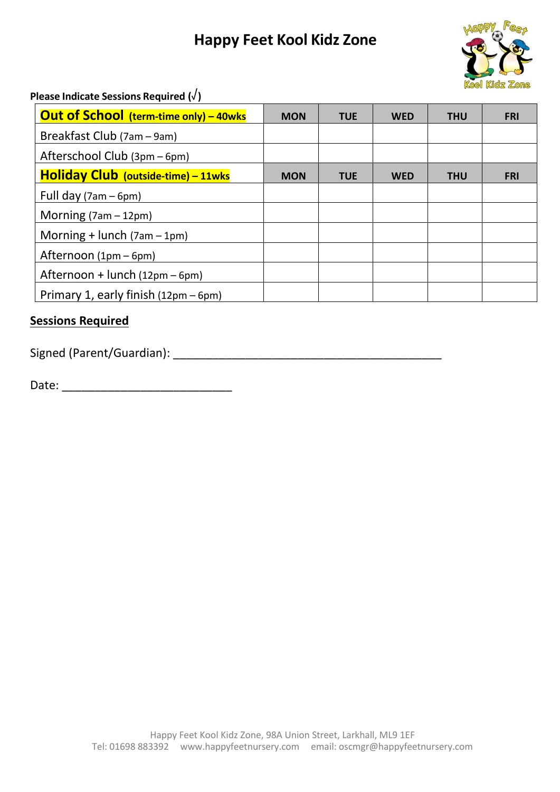

**Please Indicate Sessions Required (**√**)**

| <b>Out of School (term-time only) - 40wks</b> | <b>MON</b> | <b>TUE</b> | <b>WED</b> | <b>THU</b> | <b>FRI</b> |
|-----------------------------------------------|------------|------------|------------|------------|------------|
| Breakfast Club (7am - 9am)                    |            |            |            |            |            |
| Afterschool Club (3pm – 6pm)                  |            |            |            |            |            |
| Holiday Club (outside-time) - 11wks           | <b>MON</b> | <b>TUE</b> | WED        | <b>THU</b> | <b>FRI</b> |
| Full day $(7am - 6pm)$                        |            |            |            |            |            |
| Morning $(7am - 12pm)$                        |            |            |            |            |            |
| Morning + lunch $(7am - 1pm)$                 |            |            |            |            |            |
| Afternoon (1pm – 6pm)                         |            |            |            |            |            |
| Afternoon + lunch (12pm - 6pm)                |            |            |            |            |            |
| Primary 1, early finish (12pm - 6pm)          |            |            |            |            |            |

### **Sessions Required**

Signed (Parent/Guardian): \_\_\_\_\_\_\_\_\_\_\_\_\_\_\_\_\_\_\_\_\_\_\_\_\_\_\_\_\_\_\_\_\_\_\_\_\_\_\_\_\_

Date: \_\_\_\_\_\_\_\_\_\_\_\_\_\_\_\_\_\_\_\_\_\_\_\_\_\_